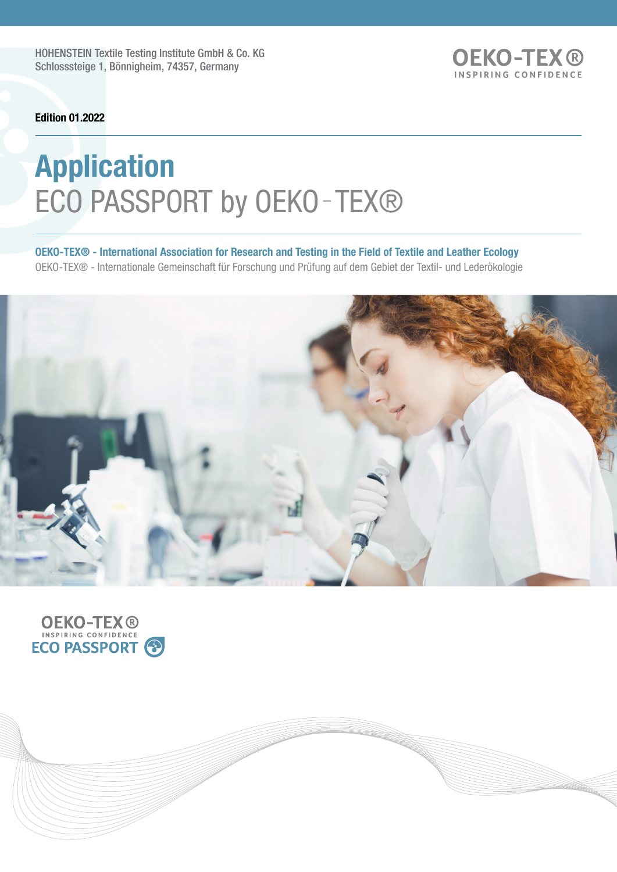HOHENSTEIN Textile Testing Institute GmbH & Co. KG Schlosssteige 1, Bönnigheim, 74357, Germany

**OEKO-TEX®** INSPIRING CONFIDENCE

Edition 01.2022

# Application ECO PASSPORT by OEKO-TEX®

OEKO-TEX® - International Association for Research and Testing in the Field of Textile and Leather Ecology OEKO-TEX® - Internationale Gemeinschaft für Forschung und Prüfung auf dem Gebiet der Textil- und Lederökologie



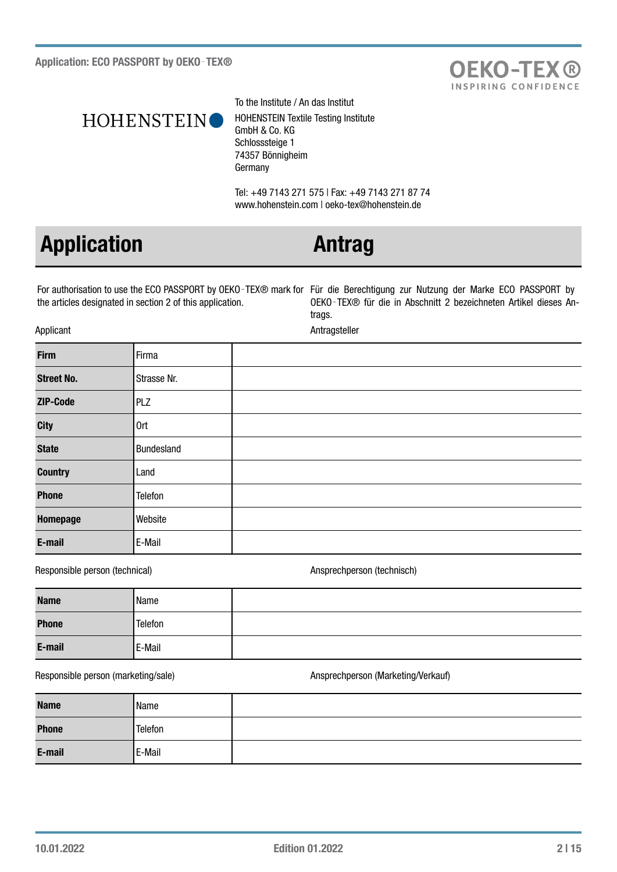



To the Institute / An das Institut HOHENSTEIN Textile Testing Institute GmbH & Co. KG Schlosssteige 1 74357 Bönnigheim Germany

Tel: +49 7143 271 575 | Fax: +49 7143 271 87 74 www.hohenstein.com | oeko-tex@hohenstein.de

# Application **Antrag**

For authorisation to use the ECO PASSPORT by OEKO‑TEX® mark for Für die Berechtigung zur Nutzung der Marke ECO PASSPORT by the articles designated in section 2 of this application.

OEKO‑TEX® für die in Abschnitt 2 bezeichneten Artikel dieses Antrags.

Applicant Antragsteller

| <b>Firm</b>       | Firma       |  |
|-------------------|-------------|--|
| <b>Street No.</b> | Strasse Nr. |  |
| ZIP-Code          | PLZ         |  |
| <b>City</b>       | 0rt         |  |
| <b>State</b>      | Bundesland  |  |
| <b>Country</b>    | Land        |  |
| <b>Phone</b>      | Telefon     |  |
| Homepage          | Website     |  |
| E-mail            | E-Mail      |  |

Responsible person (technical) and a series of the Ansprechperson (technisch)

| <b>Name</b>  | Name    |  |
|--------------|---------|--|
| <b>Phone</b> | Telefon |  |
| E-mail       | E-Mail  |  |

## Responsible person (marketing/sale) and a metal of the Ansprechperson (Marketing/Verkauf)

| <b>Name</b>  | Name    |  |
|--------------|---------|--|
| <b>Phone</b> | Telefon |  |
| E-mail       | E-Mail  |  |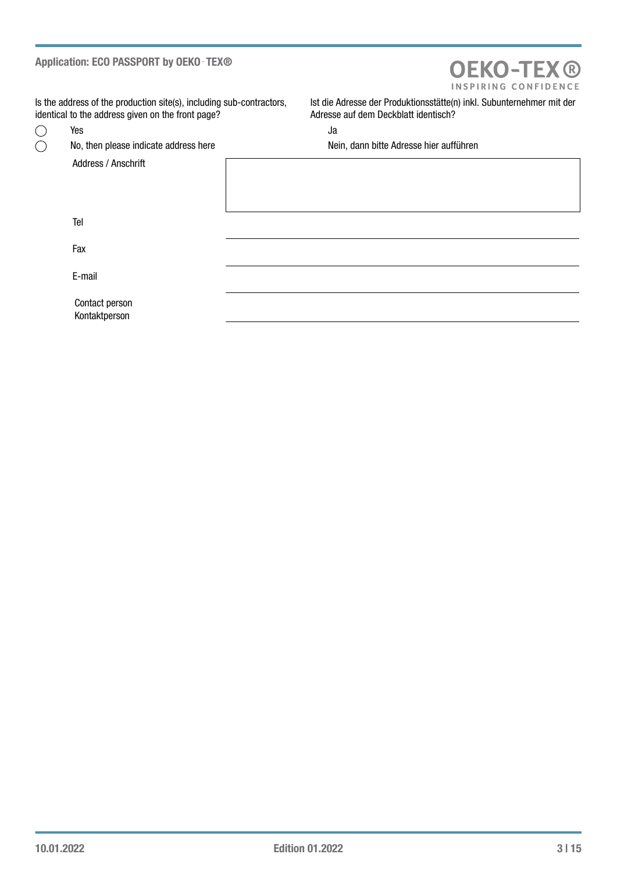## Application: ECO PASSPORT by OEKO - TEX®

# **OEKO-TEX®** INSPIRING CONFIDENCE

Is the address of the production site(s), including sub-contractors, identical to the address given on the front page?

 $\bigcirc$  $\overline{O}$ 

Address / Anschrift

Ist die Adresse der Produktionsstätte(n) inkl. Subunternehmer mit der Adresse auf dem Deckblatt identisch?

Yes January 2016 and 2017 and 2018 and 2018 and 2018 and 2018 and 2018 and 2018 and 2018 and 2018 and 2018 and

No, then please indicate address here Nein, dann bitte Adresse hier aufführen

Tel

Fax

E-mail

Contact person Kontaktperson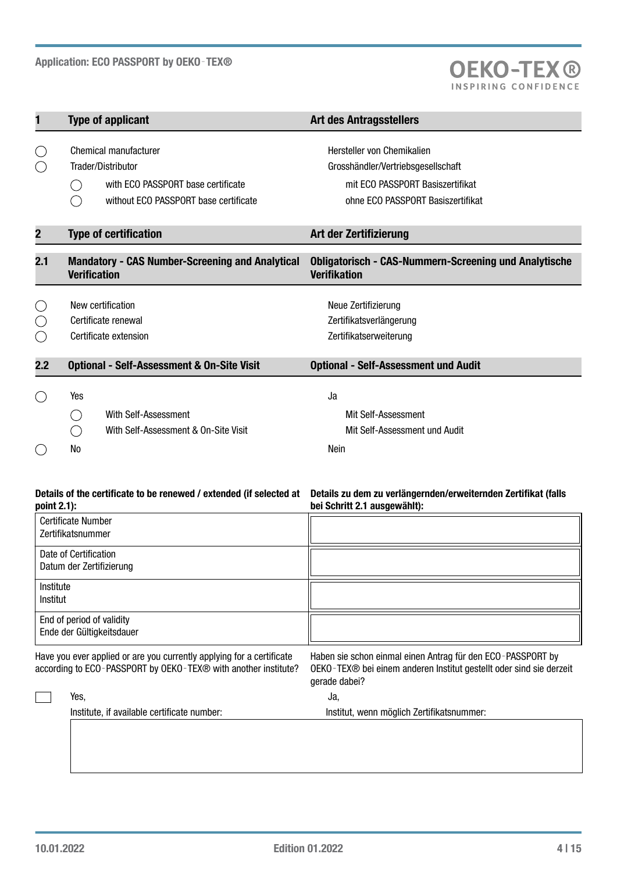

| 1                                                            | <b>Type of applicant</b>                                                                                                   | <b>Art des Antragsstellers</b>                                                                                                            |  |  |  |  |
|--------------------------------------------------------------|----------------------------------------------------------------------------------------------------------------------------|-------------------------------------------------------------------------------------------------------------------------------------------|--|--|--|--|
| O<br>◯                                                       | Chemical manufacturer<br>Trader/Distributor<br>with ECO PASSPORT base certificate<br>without ECO PASSPORT base certificate | Hersteller von Chemikalien<br>Grosshändler/Vertriebsgesellschaft<br>mit ECO PASSPORT Basiszertifikat<br>ohne ECO PASSPORT Basiszertifikat |  |  |  |  |
| $\overline{2}$                                               | <b>Type of certification</b>                                                                                               | Art der Zertifizierung                                                                                                                    |  |  |  |  |
| 2.1                                                          | <b>Mandatory - CAS Number-Screening and Analytical</b><br><b>Verification</b>                                              | <b>Obligatorisch - CAS-Nummern-Screening und Analytische</b><br><b>Verifikation</b>                                                       |  |  |  |  |
| $\left(\begin{array}{c} \end{array}\right)$<br>$(\ )$<br>( ) | New certification<br>Certificate renewal<br>Certificate extension                                                          | Neue Zertifizierung<br>Zertifikatsverlängerung<br>Zertifikatserweiterung                                                                  |  |  |  |  |
| 2.2                                                          | <b>Optional - Self-Assessment &amp; On-Site Visit</b>                                                                      | <b>Optional - Self-Assessment und Audit</b>                                                                                               |  |  |  |  |
| $($ )<br>$(\ )$                                              | Yes<br>With Self-Assessment<br>With Self-Assessment & On-Site Visit<br>No                                                  | Ja<br>Mit Self-Assessment<br>Mit Self-Assessment und Audit<br>Nein                                                                        |  |  |  |  |

### Details of the certificate to be renewed / extended (if selected at Details zu dem zu verlängernden/erweiternden Zertifikat (falls point 2.1):

bei Schritt 2.1 ausgewählt):

| <b>Certificate Number</b><br>Zertifikatsnummer                        |                                                             |
|-----------------------------------------------------------------------|-------------------------------------------------------------|
| Date of Certification<br>Datum der Zertifizierung                     |                                                             |
| Institute<br>Institut                                                 |                                                             |
| End of period of validity<br>Ende der Gültigkeitsdauer                |                                                             |
| Have you ever applied or are you currently applying for a certificate | Haben sie schon einmal einen Antrag für den ECO-PASSPORT by |

Have you ever applied or are you currently applying for a certificate Haben sie schon einmal einen Antrag für den ECO‑PASSPORT by according to ECO‑PASSPORT by OEKO‑TEX® with another institute? OEKO‑TEX® bei einem anderen Institut gestellt oder sind sie derzeit gerade dabei? Yes, Ja, Institute, if available certificate number: Institut, wenn möglich Zertifikatsnummer: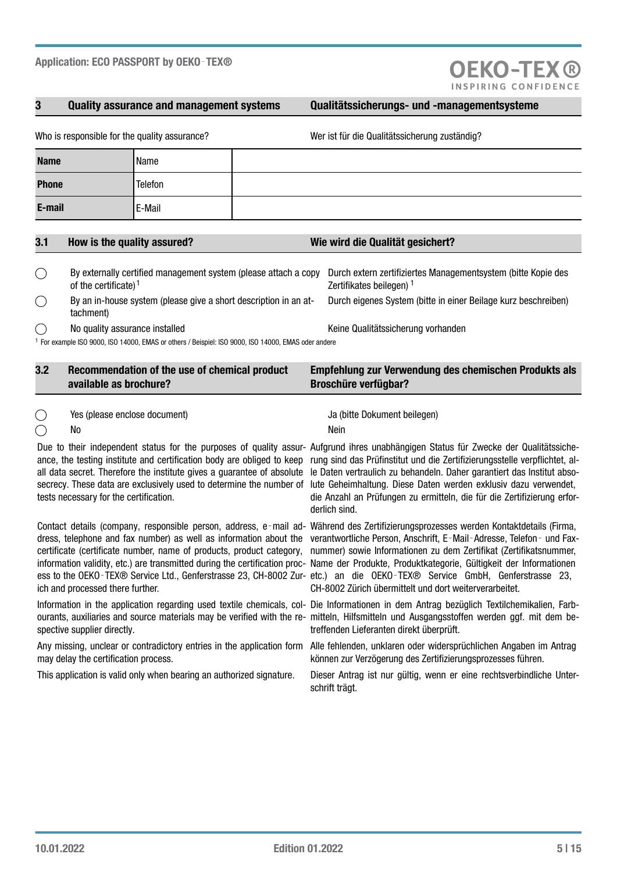Who is responsible for the quality assurance?

# 3 Quality assurance and management systems Qualitätssicherungs- und -managementsysteme

**OEKO-TEX®** 

|  | Wer ist für die Qualitätssicherung zuständig? |  |
|--|-----------------------------------------------|--|
|  |                                               |  |

| <b>Name</b>  | Name    |  |
|--------------|---------|--|
| <b>Phone</b> | Telefon |  |
| E-mail       | E-Mail  |  |

| By externally certified management system (please attach a copy<br>of the certificate) <sup>1</sup>                                              | Durch extern zertifiziertes Managementsystem (bitte Kopie des<br>Zertifikates beilegen) |
|--------------------------------------------------------------------------------------------------------------------------------------------------|-----------------------------------------------------------------------------------------|
| By an in-house system (please give a short description in an at-<br>tachment)                                                                    | Durch eigenes System (bitte in einer Beilage kurz beschreiben)                          |
| No quality assurance installed<br><sup>1</sup> For example ISO 9000, ISO 14000, EMAS or others / Beispiel: ISO 9000, ISO 14000, EMAS oder andere | Keine Qualitätssicherung vorhanden                                                      |

3.1 How is the quality assured? Wie wird die Qualität gesichert?

| 3.2 | Recommendation of the use of chemical product<br>available as brochure? | <b>Empfehlung zur Verwendung des chemischen Produkts als</b><br><b>Broschüre verfügbar?</b> |
|-----|-------------------------------------------------------------------------|---------------------------------------------------------------------------------------------|
|     | Yes (please enclose document)                                           | Ja (bitte Dokument beilegen)                                                                |

 $\bigcap$ 

ance, the testing institute and certification body are obliged to keep all data secret. Therefore the institute gives a guarantee of absolute secrecy. These data are exclusively used to determine the number of tests necessary for the certification.

No Nein

Contact details (company, responsible person, address, e-mail ad- Während des Zertifizierungsprozesses werden Kontaktdetails (Firma, dress, telephone and fax number) as well as information about the verantwortliche Person, Anschrift, E-Mail-Adresse, Telefon- und Faxcertificate (certificate number, name of products, product category, information validity, etc.) are transmitted during the certification proc-Name der Produkte, Produktkategorie, Gültigkeit der Informationen ess to the OEKO-TEX® Service Ltd., Genferstrasse 23, CH-8002 Zur- etc.) an die OEKO-TEX® Service GmbH, Genferstrasse 23, ich and processed there further.

Information in the application regarding used textile chemicals, col- Die Informationen in dem Antrag bezüglich Textilchemikalien, Farbourants, auxiliaries and source materials may be verified with the re- mitteln, Hilfsmitteln und Ausgangsstoffen werden ggf. mit dem bespective supplier directly.

may delay the certification process.

Due to their independent status for the purposes of quality assur- Aufgrund ihres unabhängigen Status für Zwecke der Qualitätssicherung sind das Prüfinstitut und die Zertifizierungsstelle verpflichtet, alle Daten vertraulich zu behandeln. Daher garantiert das Institut absolute Geheimhaltung. Diese Daten werden exklusiv dazu verwendet, die Anzahl an Prüfungen zu ermitteln, die für die Zertifizierung erforderlich sind.

> nummer) sowie Informationen zu dem Zertifikat (Zertifikatsnummer, CH-8002 Zürich übermittelt und dort weiterverarbeitet.

> treffenden Lieferanten direkt überprüft.

Any missing, unclear or contradictory entries in the application form Alle fehlenden, unklaren oder widersprüchlichen Angaben im Antrag können zur Verzögerung des Zertifizierungsprozesses führen.

This application is valid only when bearing an authorized signature. Dieser Antrag ist nur gültig, wenn er eine rechtsverbindliche Unterschrift trägt.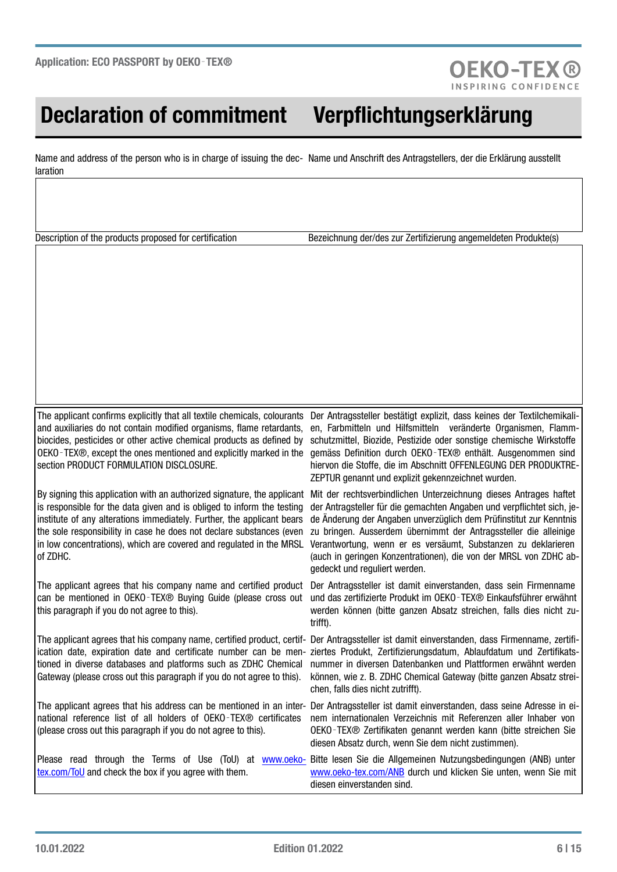# Declaration of commitment Verpflichtungserklärung

Name and address of the person who is in charge of issuing the dec- Name und Anschrift des Antragstellers, der die Erklärung ausstellt laration

Description of the products proposed for certification Bezeichnung der/des zur Zertifizierung angemeldeten Produkte(s)

**OEKO-TEX®** 

The applicant confirms explicitly that all textile chemicals, colourants and auxiliaries do not contain modified organisms, flame retardants, biocides, pesticides or other active chemical products as defined by OEKO‑TEX®, except the ones mentioned and explicitly marked in the section PRODUCT FORMULATION DISCLOSURE.

By signing this application with an authorized signature, the applicant is responsible for the data given and is obliged to inform the testing institute of any alterations immediately. Further, the applicant bears the sole responsibility in case he does not declare substances (even in low concentrations), which are covered and regulated in the MRSL of ZDHC.

The applicant agrees that his company name and certified product can be mentioned in OEKO‑TEX® Buying Guide (please cross out this paragraph if you do not agree to this).

The applicant agrees that his company name, certified product, certif- Der Antragssteller ist damit einverstanden, dass Firmenname, zertifiication date, expiration date and certificate number can be men- ziertes Produkt, Zertifizierungsdatum, Ablaufdatum und Zertifikatstioned in diverse databases and platforms such as ZDHC Chemical Gateway (please cross out this paragraph if you do not agree to this).

national reference list of all holders of OEKO-TEX® certificates (please cross out this paragraph if you do not agree to this).

Der Antragssteller bestätigt explizit, dass keines der Textilchemikalien, Farbmitteln und Hilfsmitteln veränderte Organismen, Flammschutzmittel, Biozide, Pestizide oder sonstige chemische Wirkstoffe gemäss Definition durch OEKO‑TEX® enthält. Ausgenommen sind hiervon die Stoffe, die im Abschnitt OFFENLEGUNG DER PRODUKTRE-ZEPTUR genannt und explizit gekennzeichnet wurden.

Mit der rechtsverbindlichen Unterzeichnung dieses Antrages haftet der Antragsteller für die gemachten Angaben und verpflichtet sich, jede Änderung der Angaben unverzüglich dem Prüfinstitut zur Kenntnis zu bringen. Ausserdem übernimmt der Antragssteller die alleinige Verantwortung, wenn er es versäumt, Substanzen zu deklarieren (auch in geringen Konzentrationen), die von der MRSL von ZDHC abgedeckt und reguliert werden.

Der Antragssteller ist damit einverstanden, dass sein Firmenname und das zertifizierte Produkt im OEKO-TEX® Einkaufsführer erwähnt werden können (bitte ganzen Absatz streichen, falls dies nicht zutrifft).

nummer in diversen Datenbanken und Plattformen erwähnt werden können, wie z. B. ZDHC Chemical Gateway (bitte ganzen Absatz streichen, falls dies nicht zutrifft).

The applicant agrees that his address can be mentioned in an inter-Der Antragssteller ist damit einverstanden, dass seine Adresse in einem internationalen Verzeichnis mit Referenzen aller Inhaber von OEKO-TEX® Zertifikaten genannt werden kann (bitte streichen Sie diesen Absatz durch, wenn Sie dem nicht zustimmen).

Please read through the Terms of Use (ToU) at [www.oeko](http://www.oeko-tex.com/ToU)[tex.com/ToU](http://www.oeko-tex.com/ToU) and check the box if you agree with them. Bitte lesen Sie die Allgemeinen Nutzungsbedingungen (ANB) unter [www.oeko-tex.com/ANB](http://www.oeko-tex.com/ANB) durch und klicken Sie unten, wenn Sie mit diesen einverstanden sind.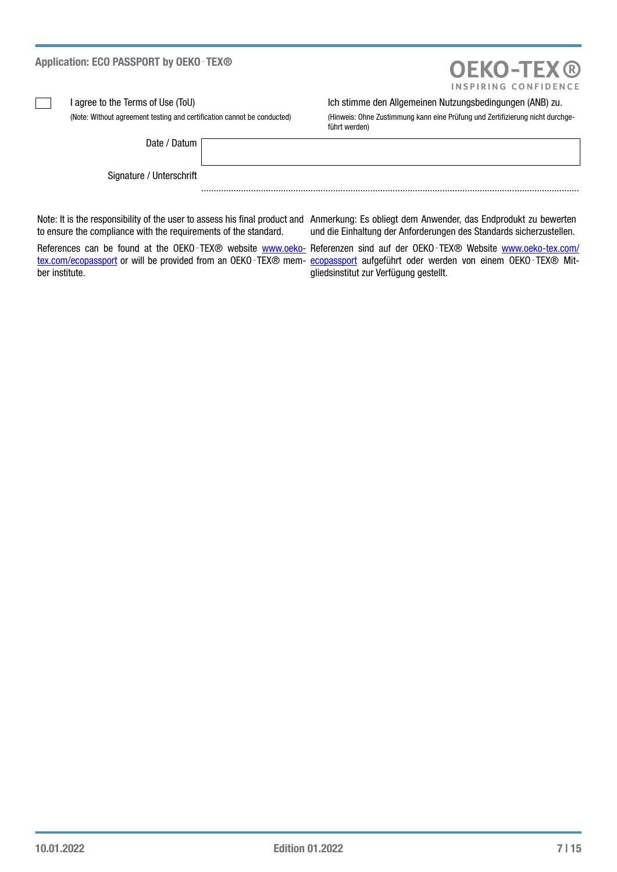| Application: ECO PASSPORT by OEKO-TEX®                                  | <b>OEKO-TEX®</b><br>INSPIRING CONFIDENCE                                                                                                  |
|-------------------------------------------------------------------------|-------------------------------------------------------------------------------------------------------------------------------------------|
| l agree to the Terms of Use (ToU)                                       | Ich stimme den Allgemeinen Nutzungsbedingungen (ANB) zu.                                                                                  |
| (Note: Without agreement testing and certification cannot be conducted) | (Hinweis: Ohne Zustimmung kann eine Prüfung und Zertifizierung nicht durchge-<br>führt werden)                                            |
| Date / Datum                                                            |                                                                                                                                           |
| Signature / Unterschrift                                                |                                                                                                                                           |
|                                                                         | Note: It is the responsibility of the user to assess his final product and Anmerkung: Es obliegt dem Anwender, das Endprodukt zu bewerten |

to ensure the compliance with the requirements of the standard.

ber institute.

Anmerkung: Es obliegt dem Anwender, das Endprodukt zu bewerten und die Einhaltung der Anforderungen des Standards sicherzustellen.

References can be found at the OEKO-TEX® website www.oeko- Referenzen sind auf der OEKO-TEX® Website [www.oeko-tex.com/](http://www.oeko-tex.com/ecopassport) [tex.com/ecopassport](http://www.oeko-tex.com/ecopassport) or will be provided from an OEKO-TEX® mem- [ecopassport](http://www.oeko-tex.com/ecopassport) aufgeführt oder werden von einem OEKO-TEX® Mitgliedsinstitut zur Verfügung gestellt.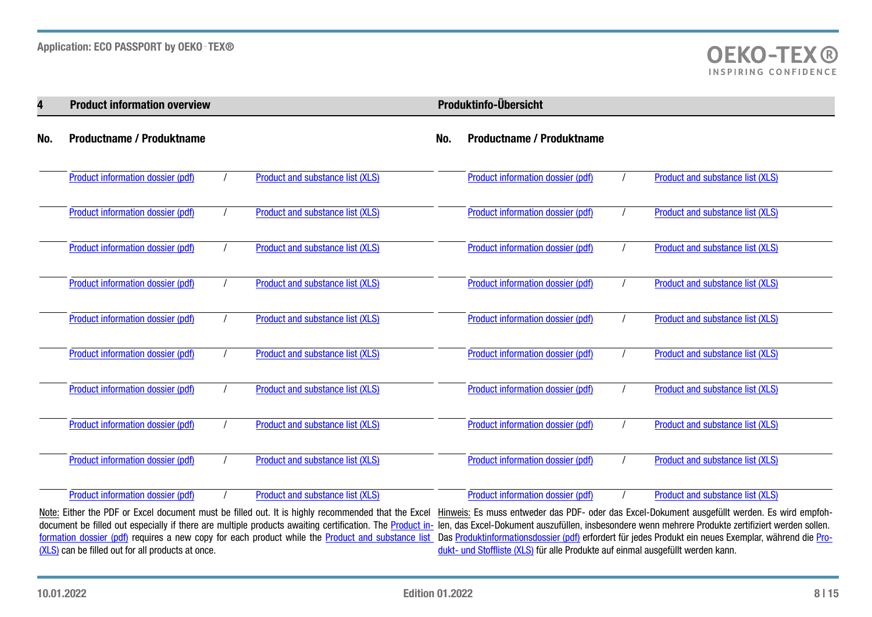| 4   | <b>Product information overview</b> |  |                                  |  | Produktinfo-Übersicht             |  |                                  |  |
|-----|-------------------------------------|--|----------------------------------|--|-----------------------------------|--|----------------------------------|--|
| No. | <b>Productname / Produktname</b>    |  |                                  |  | <b>Productname / Produktname</b>  |  |                                  |  |
|     | Product information dossier (pdf)   |  | Product and substance list (XLS) |  | Product information dossier (pdf) |  | Product and substance list (XLS) |  |
|     | Product information dossier (pdf)   |  | Product and substance list (XLS) |  | Product information dossier (pdf) |  | Product and substance list (XLS) |  |
|     | Product information dossier (pdf)   |  | Product and substance list (XLS) |  | Product information dossier (pdf) |  | Product and substance list (XLS) |  |
|     | Product information dossier (pdf)   |  | Product and substance list (XLS) |  | Product information dossier (pdf) |  | Product and substance list (XLS) |  |
|     | Product information dossier (pdf)   |  | Product and substance list (XLS) |  | Product information dossier (pdf) |  | Product and substance list (XLS) |  |
|     | Product information dossier (pdf)   |  | Product and substance list (XLS) |  | Product information dossier (pdf) |  | Product and substance list (XLS) |  |
|     | Product information dossier (pdf)   |  | Product and substance list (XLS) |  | Product information dossier (pdf) |  | Product and substance list (XLS) |  |
|     | Product information dossier (pdf)   |  | Product and substance list (XLS) |  | Product information dossier (pdf) |  | Product and substance list (XLS) |  |
|     | Product information dossier (pdf)   |  | Product and substance list (XLS) |  | Product information dossier (pdf) |  | Product and substance list (XLS) |  |
|     | Product information dossier (pdf)   |  | Product and substance list (XLS) |  | Product information dossier (pdf) |  | Product and substance list (XLS) |  |

Note: Either the PDF or Excel document must be filled out. It is highly recommended that the Excel Hinweis: Es muss entweder das PDF- oder das Excel-Dokument ausgefüllt werden. Es wird empfohdocument be filled out especially if there are multiple products awaiting certification. The <u>Product in-</u> len, das Excel-Dokument auszufüllen, insbesondere wenn mehrere Produkte zertifiziert werden sollen. [formation dossier \(pdf\)](http://documents.oeko-tex.com/product_information_dossier/en-de/) requires a new copy for each product while the <u>Product and substance list</u> Das <u>Produktinformationsdossier (pdf</u>) erfordert für jedes Produkt ein neues Exemplar, während die <u>Pro-</u> [\(XLS\)](https://my.oeko-tex.com/customer-portal/public/application/ecopp/product-info-xls/) can be filled out for all products at once. [dukt- und](https://my.oeko-tex.com/customer-portal/public/application/ecopp/product-info-xls/) Stoffliste (XLS) für alle Produkte auf einmal ausgefüllt werden kann.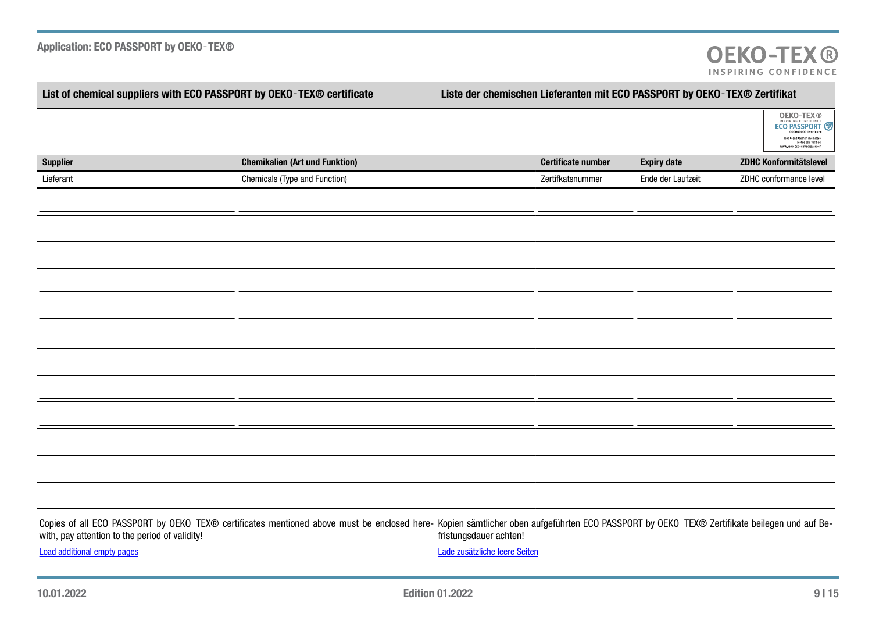| List of chemical suppliers with ECO PASSPORT by OEKO-TEX® certificate |                                                                                                                                                                                            | Liste der chemischen Lieferanten mit ECO PASSPORT by OEKO-TEX® Zertifikat |                           |                    |                                                                                                                                                           |  |  |
|-----------------------------------------------------------------------|--------------------------------------------------------------------------------------------------------------------------------------------------------------------------------------------|---------------------------------------------------------------------------|---------------------------|--------------------|-----------------------------------------------------------------------------------------------------------------------------------------------------------|--|--|
|                                                                       |                                                                                                                                                                                            |                                                                           |                           |                    | <b>OEKO-TEX®</b><br>ECO PASSPORT<br>Textile and leather chemicals.<br>Tested and verified.<br>www.oeko-tex.com/ecopasspo<br><b>ZDHC Konformitätslevel</b> |  |  |
| <b>Supplier</b>                                                       | <b>Chemikalien (Art und Funktion)</b>                                                                                                                                                      |                                                                           | <b>Certificate number</b> | <b>Expiry date</b> |                                                                                                                                                           |  |  |
| Lieferant                                                             | Chemicals (Type and Function)                                                                                                                                                              |                                                                           | Zertifkatsnummer          | Ende der Laufzeit  | ZDHC conformance level                                                                                                                                    |  |  |
|                                                                       |                                                                                                                                                                                            |                                                                           |                           |                    |                                                                                                                                                           |  |  |
|                                                                       |                                                                                                                                                                                            |                                                                           |                           |                    |                                                                                                                                                           |  |  |
|                                                                       |                                                                                                                                                                                            |                                                                           |                           |                    |                                                                                                                                                           |  |  |
|                                                                       |                                                                                                                                                                                            |                                                                           |                           |                    |                                                                                                                                                           |  |  |
|                                                                       |                                                                                                                                                                                            |                                                                           |                           |                    |                                                                                                                                                           |  |  |
|                                                                       |                                                                                                                                                                                            |                                                                           |                           |                    |                                                                                                                                                           |  |  |
|                                                                       |                                                                                                                                                                                            |                                                                           |                           |                    |                                                                                                                                                           |  |  |
|                                                                       |                                                                                                                                                                                            |                                                                           |                           |                    |                                                                                                                                                           |  |  |
|                                                                       |                                                                                                                                                                                            |                                                                           |                           |                    |                                                                                                                                                           |  |  |
|                                                                       |                                                                                                                                                                                            |                                                                           |                           |                    |                                                                                                                                                           |  |  |
|                                                                       |                                                                                                                                                                                            |                                                                           |                           |                    |                                                                                                                                                           |  |  |
|                                                                       |                                                                                                                                                                                            |                                                                           |                           |                    |                                                                                                                                                           |  |  |
|                                                                       |                                                                                                                                                                                            |                                                                           |                           |                    |                                                                                                                                                           |  |  |
|                                                                       |                                                                                                                                                                                            |                                                                           |                           |                    |                                                                                                                                                           |  |  |
|                                                                       |                                                                                                                                                                                            |                                                                           |                           |                    |                                                                                                                                                           |  |  |
|                                                                       |                                                                                                                                                                                            |                                                                           |                           |                    |                                                                                                                                                           |  |  |
|                                                                       |                                                                                                                                                                                            |                                                                           |                           |                    |                                                                                                                                                           |  |  |
|                                                                       |                                                                                                                                                                                            |                                                                           |                           |                    |                                                                                                                                                           |  |  |
|                                                                       |                                                                                                                                                                                            |                                                                           |                           |                    |                                                                                                                                                           |  |  |
| with, pay attention to the period of validity!                        | Copies of all ECO PASSPORT by OEKO-TEX® certificates mentioned above must be enclosed here- Kopien sämtlicher oben aufgeführten ECO PASSPORT by OEKO-TEX® Zertifikate beilegen und auf Be- | fristungsdauer achten!                                                    |                           |                    |                                                                                                                                                           |  |  |
| <b>Load additional empty pages</b>                                    |                                                                                                                                                                                            | Lade zusätzliche leere Seiten                                             |                           |                    |                                                                                                                                                           |  |  |

10.01.2022 Edition 01.2022 9 | 15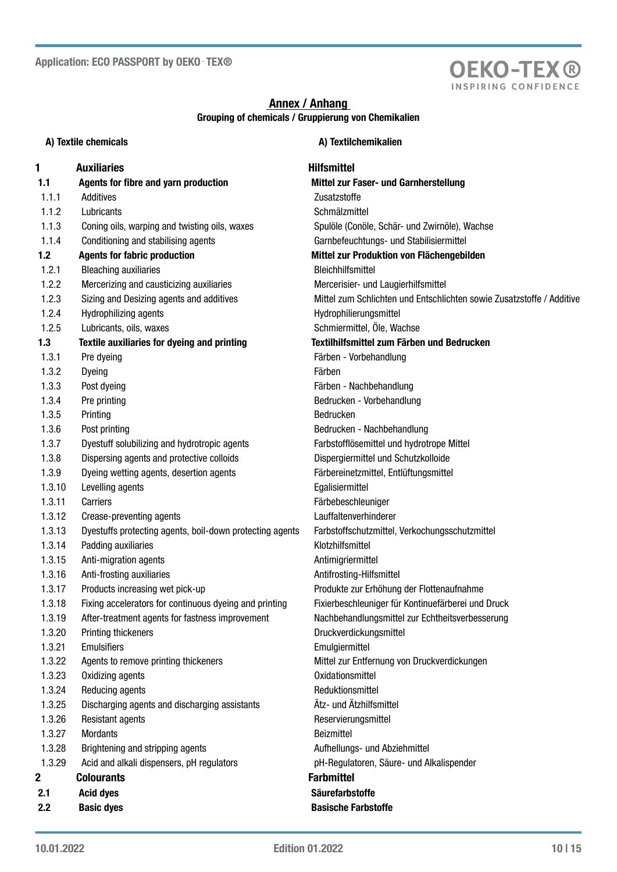

# Annex / Anhang Grouping of chemicals / Gruppierung von Chemikalien

| A) Textile chemicals |                                                          | A) Textilchemikalien                                                  |
|----------------------|----------------------------------------------------------|-----------------------------------------------------------------------|
| 1                    | <b>Auxiliaries</b>                                       | <b>Hilfsmittel</b>                                                    |
| 1.1                  | Agents for fibre and yarn production                     | Mittel zur Faser- und Garnherstellung                                 |
| 1.1.1                | Additives                                                | Zusatzstoffe                                                          |
| 1.1.2                | Lubricants                                               | Schmälzmittel                                                         |
| 1.1.3                | Coning oils, warping and twisting oils, waxes            | Spulöle (Conöle, Schär- und Zwirnöle), Wachse                         |
| 1.1.4                | Conditioning and stabilising agents                      | Garnbefeuchtungs- und Stabilisiermittel                               |
| 1.2                  | <b>Agents for fabric production</b>                      | Mittel zur Produktion von Flächengebilden                             |
| 1.2.1                | <b>Bleaching auxiliaries</b>                             | Bleichhilfsmittel                                                     |
| 1.2.2                | Mercerizing and causticizing auxiliaries                 | Mercerisier- und Laugierhilfsmittel                                   |
| 1.2.3                | Sizing and Desizing agents and additives                 | Mittel zum Schlichten und Entschlichten sowie Zusatzstoffe / Additive |
| 1.2.4                | Hydrophilizing agents                                    | Hydrophilierungsmittel                                                |
| 1.2.5                | Lubricants, oils, waxes                                  | Schmiermittel, Öle, Wachse                                            |
| 1.3                  | Textile auxiliaries for dyeing and printing              | Textilhilfsmittel zum Färben und Bedrucken                            |
| 1.3.1                | Pre dyeing                                               | Färben - Vorbehandlung                                                |
| 1.3.2                | Dyeing                                                   | Färben                                                                |
| 1.3.3                | Post dyeing                                              | Färben - Nachbehandlung                                               |
| 1.3.4                | Pre printing                                             | Bedrucken - Vorbehandlung                                             |
| 1.3.5                | Printing                                                 | Bedrucken                                                             |
| 1.3.6                | Post printing                                            | Bedrucken - Nachbehandlung                                            |
| 1.3.7                | Dyestuff solubilizing and hydrotropic agents             | Farbstofflösemittel und hydrotrope Mittel                             |
| 1.3.8                | Dispersing agents and protective colloids                | Dispergiermittel und Schutzkolloide                                   |
| 1.3.9                | Dyeing wetting agents, desertion agents                  | Färbereinetzmittel, Entlüftungsmittel                                 |
| 1.3.10               | Levelling agents                                         | Egalisiermittel                                                       |
| 1.3.11               | Carriers                                                 | Färbebeschleuniger                                                    |
| 1.3.12               | Crease-preventing agents                                 | Lauffaltenverhinderer                                                 |
| 1.3.13               | Dyestuffs protecting agents, boil-down protecting agents | Farbstoffschutzmittel, Verkochungsschutzmittel                        |
| 1.3.14               | Padding auxiliaries                                      | Klotzhilfsmittel                                                      |
| 1.3.15               | Anti-migration agents                                    | Antimigriermittel                                                     |
| 1.3.16               | Anti-frosting auxiliaries                                | Antifrosting-Hilfsmittel                                              |
| 1.3.17               | Products increasing wet pick-up                          | Produkte zur Erhöhung der Flottenaufnahme                             |
| 1.3.18               | Fixing accelerators for continuous dyeing and printing   | Fixierbeschleuniger für Kontinuefärberei und Druck                    |
| 1.3.19               | After-treatment agents for fastness improvement          | Nachbehandlungsmittel zur Echtheitsverbesserung                       |
| 1.3.20               | Printing thickeners                                      | Druckverdickungsmittel                                                |
| 1.3.21               | <b>Emulsifiers</b>                                       | Emulgiermittel                                                        |
| 1.3.22               | Agents to remove printing thickeners                     | Mittel zur Entfernung von Druckverdickungen                           |
| 1.3.23               | Oxidizing agents                                         | Oxidationsmittel                                                      |
| 1.3.24               | Reducing agents                                          | Reduktionsmittel                                                      |
| 1.3.25               | Discharging agents and discharging assistants            | Ätz- und Ätzhilfsmittel                                               |
| 1.3.26               | Resistant agents                                         | Reservierungsmittel                                                   |
| 1.3.27               | Mordants                                                 | Beizmittel                                                            |
| 1.3.28               | Brightening and stripping agents                         | Aufhellungs- und Abziehmittel                                         |
| 1.3.29               | Acid and alkali dispensers, pH regulators                | pH-Regulatoren, Säure- und Alkalispender                              |
| 2                    | <b>Colourants</b>                                        | <b>Farbmittel</b>                                                     |
| 2.1                  | <b>Acid dyes</b>                                         | <b>Säurefarbstoffe</b>                                                |
| 2.2                  | <b>Basic dyes</b>                                        | <b>Basische Farbstoffe</b>                                            |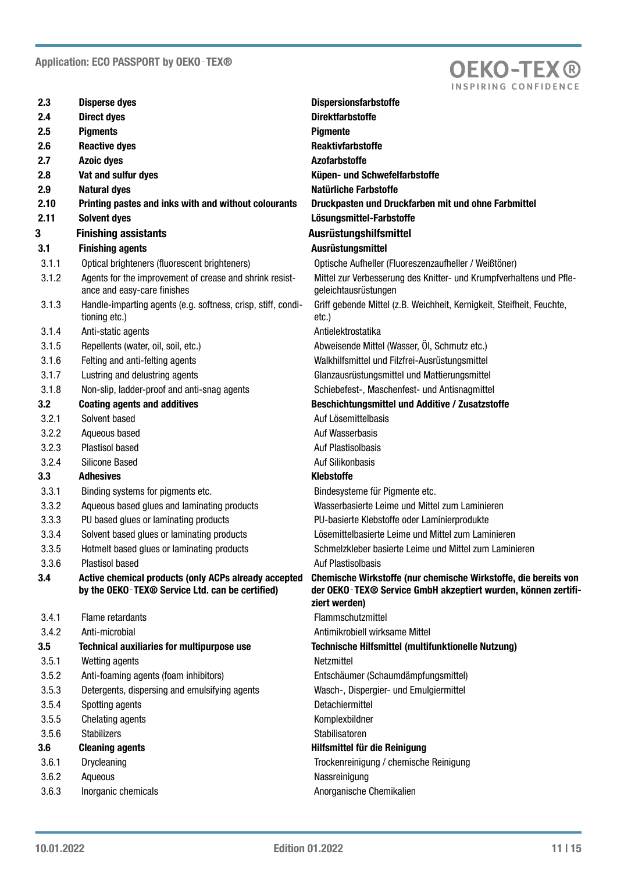

| 2.3     | <b>Disperse dyes</b>                                                                                    | <b>Dispersionsfarbstoffe</b>                                                                                                     |
|---------|---------------------------------------------------------------------------------------------------------|----------------------------------------------------------------------------------------------------------------------------------|
| 2.4     | <b>Direct dyes</b>                                                                                      | <b>Direktfarbstoffe</b>                                                                                                          |
| 2.5     | <b>Pigments</b>                                                                                         | <b>Pigmente</b>                                                                                                                  |
| 2.6     | <b>Reactive dyes</b>                                                                                    | <b>Reaktivfarbstoffe</b>                                                                                                         |
| 2.7     | <b>Azoic dyes</b>                                                                                       | <b>Azofarbstoffe</b>                                                                                                             |
| 2.8     | Vat and sulfur dyes                                                                                     | Küpen- und Schwefelfarbstoffe                                                                                                    |
| 2.9     | <b>Natural dyes</b>                                                                                     | <b>Natürliche Farbstoffe</b>                                                                                                     |
| 2.10    | Printing pastes and inks with and without colourants                                                    | Druckpasten und Druckfarben mit und ohne Farbmittel                                                                              |
| 2.11    | <b>Solvent dyes</b>                                                                                     | Lösungsmittel-Farbstoffe                                                                                                         |
| 3       | <b>Finishing assistants</b>                                                                             | Ausrüstungshilfsmittel                                                                                                           |
| 3.1     | <b>Finishing agents</b>                                                                                 | Ausrüstungsmittel                                                                                                                |
| 3.1.1   | Optical brighteners (fluorescent brighteners)                                                           | Optische Aufheller (Fluoreszenzaufheller / Weißtöner)                                                                            |
| 3.1.2   | Agents for the improvement of crease and shrink resist-<br>ance and easy-care finishes                  | Mittel zur Verbesserung des Knitter- und Krumpfverhaltens und Pfle-<br>geleichtausrüstungen                                      |
| 3.1.3   | Handle-imparting agents (e.g. softness, crisp, stiff, condi-<br>tioning etc.)                           | Griff gebende Mittel (z.B. Weichheit, Kernigkeit, Steifheit, Feuchte,<br>etc.)                                                   |
| 3.1.4   | Anti-static agents                                                                                      | Antielektrostatika                                                                                                               |
| 3.1.5   | Repellents (water, oil, soil, etc.)                                                                     | Abweisende Mittel (Wasser, Öl, Schmutz etc.)                                                                                     |
| 3.1.6   | Felting and anti-felting agents                                                                         | Walkhilfsmittel und Filzfrei-Ausrüstungsmittel                                                                                   |
| 3.1.7   | Lustring and delustring agents                                                                          | Glanzausrüstungsmittel und Mattierungsmittel                                                                                     |
| 3.1.8   | Non-slip, ladder-proof and anti-snag agents                                                             | Schiebefest-, Maschenfest- und Antisnagmittel                                                                                    |
| 3.2     | <b>Coating agents and additives</b>                                                                     | Beschichtungsmittel und Additive / Zusatzstoffe                                                                                  |
| 3.2.1   | Solvent based                                                                                           | Auf Lösemittelbasis                                                                                                              |
| 3.2.2   | Aqueous based                                                                                           | Auf Wasserbasis                                                                                                                  |
| 3.2.3   | Plastisol based                                                                                         | Auf Plastisolbasis                                                                                                               |
| 3.2.4   | <b>Silicone Based</b>                                                                                   | Auf Silikonbasis                                                                                                                 |
| 3.3     | <b>Adhesives</b>                                                                                        | <b>Klebstoffe</b>                                                                                                                |
| 3.3.1   | Binding systems for pigments etc.                                                                       | Bindesysteme für Pigmente etc.                                                                                                   |
| 3.3.2   | Aqueous based glues and laminating products                                                             | Wasserbasierte Leime und Mittel zum Laminieren                                                                                   |
| 3.3.3   | PU based glues or laminating products                                                                   | PU-basierte Klebstoffe oder Laminierprodukte                                                                                     |
| 3.3.4   | Solvent based glues or laminating products                                                              | Lösemittelbasierte Leime und Mittel zum Laminieren                                                                               |
| 3.3.5   | Hotmelt based glues or laminating products                                                              | Schmelzkleber basierte Leime und Mittel zum Laminieren                                                                           |
| 3.3.6   | Plastisol based                                                                                         | Auf Plastisolbasis                                                                                                               |
| 3.4     | Active chemical products (only ACPs already accepted<br>by the OEKO-TEX® Service Ltd. can be certified) | Chemische Wirkstoffe (nur chemische Wirkstoffe, die bereits von<br>der OEKO-TEX® Service GmbH akzeptiert wurden, können zertifi- |
| 3.4.1   | Flame retardants                                                                                        | ziert werden)<br>Flammschutzmittel                                                                                               |
| 3.4.2   | Anti-microbial                                                                                          | Antimikrobiell wirksame Mittel                                                                                                   |
| $3.5\,$ | Technical auxiliaries for multipurpose use                                                              | Technische Hilfsmittel (multifunktionelle Nutzung)                                                                               |
| 3.5.1   | Wetting agents                                                                                          | Netzmittel                                                                                                                       |
| 3.5.2   | Anti-foaming agents (foam inhibitors)                                                                   | Entschäumer (Schaumdämpfungsmittel)                                                                                              |
| 3.5.3   | Detergents, dispersing and emulsifying agents                                                           | Wasch-, Dispergier- und Emulgiermittel                                                                                           |
| 3.5.4   | Spotting agents                                                                                         | Detachiermittel                                                                                                                  |
| 3.5.5   | Chelating agents                                                                                        | Komplexbildner                                                                                                                   |
| 3.5.6   | <b>Stabilizers</b>                                                                                      | Stabilisatoren                                                                                                                   |
| 3.6     | <b>Cleaning agents</b>                                                                                  | Hilfsmittel für die Reinigung                                                                                                    |
| 3.6.1   | Drycleaning                                                                                             | Trockenreinigung / chemische Reinigung                                                                                           |
| 3.6.2   | Aqueous                                                                                                 | Nassreinigung                                                                                                                    |
| 3.6.3   | Inorganic chemicals                                                                                     | Anorganische Chemikalien                                                                                                         |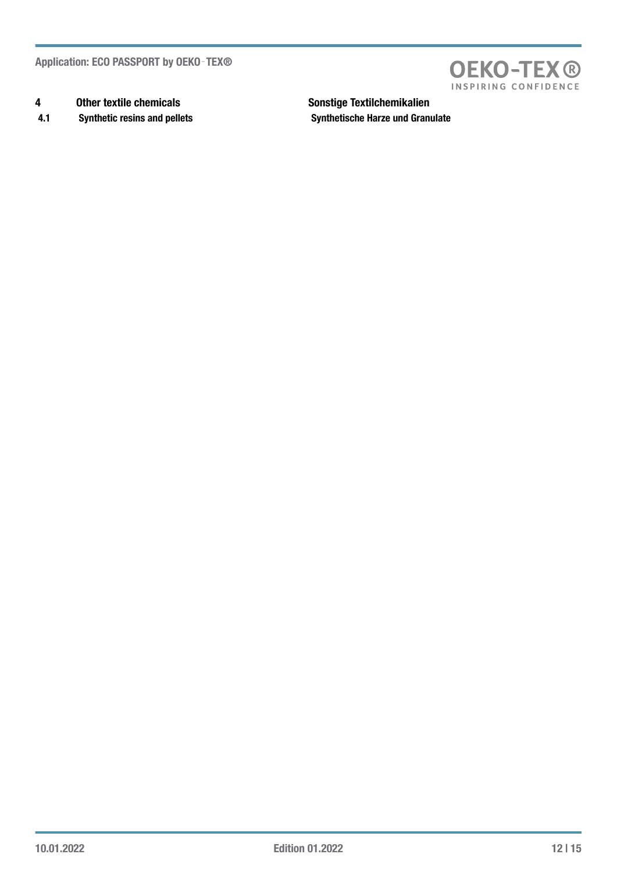Application: ECO PASSPORT by OEKO - TEX®

- 4 Other textile chemicals **Sonstige Textilchemikalien**
- 4.1 Synthetic resins and pellets Synthetische Harze und Granulate

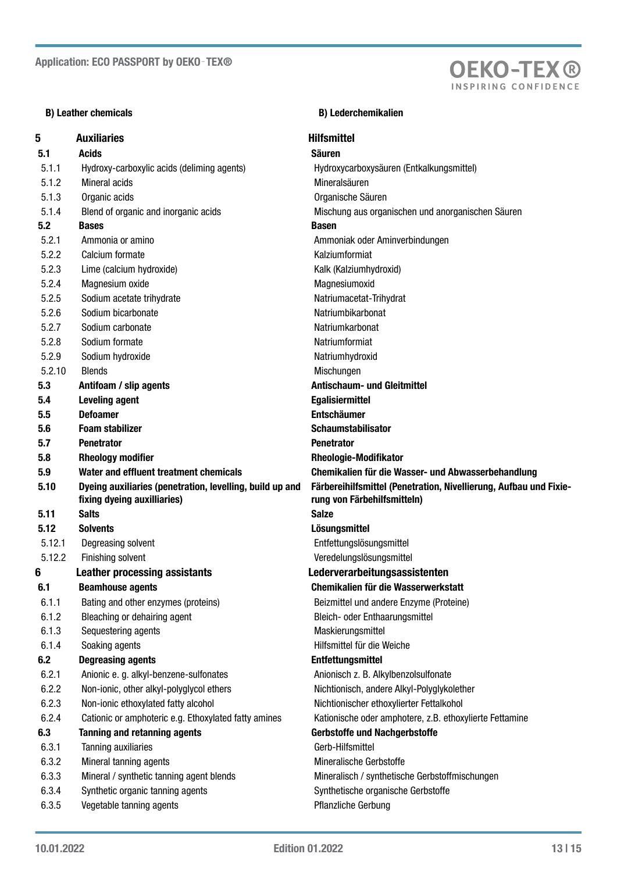## B) Leather chemicals B) Leather chemicals

# 5 Auxiliaries **Auxiliaries Hilfsmittel** 5.1 Acids **Säuren** Säuren Säuren Säuren Säuren Säuren Säuren Säuren Säuren Säuren Säuren Säuren Säuren Säuren S 5.1.1 Hydroxy-carboxylic acids (deliming agents) Hydroxycarboxysäuren (Entkalkungsmittel) 5.1.2 Mineral acids and action of the Mineral Sauren 5.1.3 Organic acids Organische Säuren 5.1.4 Blend of organic and inorganic acids Mischung aus organischen und anorganischen Säuren 5.2 Bases Basen and the Basen Basen 5.2.1 Ammonia or amino Ammoniak oder Aminverbindungen 5.2.2 Calcium formate Kalziumformiat 5.2.3 Lime (calcium hydroxide) Contract Contract Calcium hydroxide Kalk (Kalziumhydroxid) 5.2.4 Magnesium oxide **Magnesiumoxid** Magnesiumoxid 5.2.5 Sodium acetate trihydrate Natriumacetat-Trihydrat 5.2.6 Sodium bicarbonate Solution of the Natriumbikarbonat 5.2.7 Sodium carbonate Natriumkarbonat 5.2.8 Sodium formate Natriumformiat 5.2.9 Sodium hydroxide Natriumhydroxid 5.2.10 Blends Mischungen 5.3 Antifoam / slip agents Antischaum- und Gleitmittel 5.4 Leveling agent Egalisiermittel 5.5 Defoamer Entschäumer 5.6 Foam stabilizer Schaumstabilisator Schaumstabilisator 5.7 Penetrator Penetrator 5.8 Rheology modifier **6.8** Rheologie-Modifikator 5.9 Water and effluent treatment chemicals Chemikalien für die Wasser- und Abwasserbehandlung 5.10 Dyeing auxiliaries (penetration, levelling, build up and fixing dyeing auxilliaries) 5.11 Salts Salze 5.12 Solvents Lösungsmittel 5.12.1 Degreasing solvent Entfettungslösungsmittel 5.12.2 Finishing solvent Veredelungslösungsmittel 6 Leather processing assistants Lederverarbeitungsassistenten 6.1 Beamhouse agents Chemikalien für die Wasserwerkstatt 6.1.1 Bating and other enzymes (proteins) Beizmittel und andere Enzyme (Proteine) 6.1.2 Bleaching or dehairing agent Bleich- oder Enthaarungsmittel 6.1.3 Sequestering agents **Maskierungsmittel** Maskierungsmittel 6.1.4 Soaking agents **Hilfsmittel für die Weiche** 6.2 Degreasing agents Entfettungsmittel 6.2.1 Anionic e. g. alkyl-benzene-sulfonates **Anionisch z. B. Alkylbenzolsulfonate** 6.2.2 Non-ionic, other alkyl-polyglycol ethers Nichtionisch, andere Alkyl-Polyglykolether 6.2.3 Non-ionic ethoxylated fatty alcohol Nichtionischer ethoxylierter Fettalkohol 6.2.4 Cationic or amphoteric e.g. Ethoxylated fatty amines Kationische oder amphotere, z.B. ethoxylierte Fettamine 6.3 Tanning and retanning agents Gerbstoffe und Nachgerbstoffe 6.3.1 Tanning auxiliaries Gerb-Hilfsmittel 6.3.2 Mineral tanning agents Mineralische Gerbstoffe 6.3.3 Mineral / synthetic tanning agent blends Mineralisch / synthetische Gerbstoffmischungen 6.3.4 Synthetic organic tanning agents Synthetische organische Gerbstoffe 6.3.5 Vegetable tanning agents 3fland is a series of the Pflanzliche Gerbung

Färbereihilfsmittel (Penetration, Nivellierung, Aufbau und Fixierung von Färbehilfsmitteln)

**OEKO-TEX®** INSPIRING CONFIDENC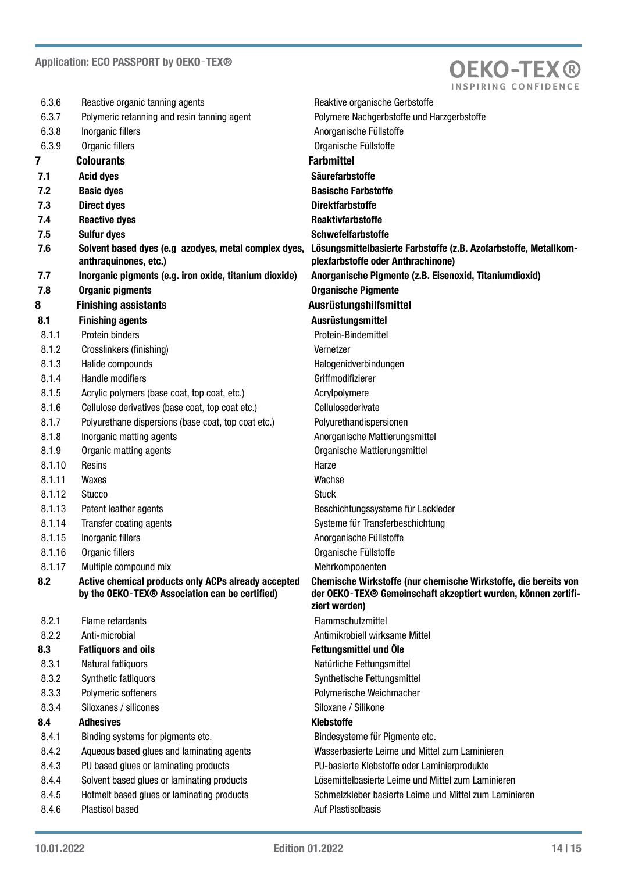

| 6.3.6  | Reactive organic tanning agents                                                                                   | Reaktive organische Gerbstoffe                                                                                                                    |
|--------|-------------------------------------------------------------------------------------------------------------------|---------------------------------------------------------------------------------------------------------------------------------------------------|
| 6.3.7  | Polymeric retanning and resin tanning agent                                                                       | Polymere Nachgerbstoffe und Harzgerbstoffe                                                                                                        |
| 6.3.8  | Inorganic fillers                                                                                                 | Anorganische Füllstoffe                                                                                                                           |
| 6.3.9  | Organic fillers                                                                                                   | Organische Füllstoffe                                                                                                                             |
| 7      | <b>Colourants</b>                                                                                                 | <b>Farbmittel</b>                                                                                                                                 |
| 7.1    | <b>Acid dyes</b>                                                                                                  | <b>Säurefarbstoffe</b>                                                                                                                            |
| 7.2    | <b>Basic dyes</b>                                                                                                 | <b>Basische Farbstoffe</b>                                                                                                                        |
| 7.3    | <b>Direct dyes</b>                                                                                                | <b>Direktfarbstoffe</b>                                                                                                                           |
| 7.4    | <b>Reactive dyes</b>                                                                                              | <b>Reaktivfarbstoffe</b>                                                                                                                          |
| 7.5    | <b>Sulfur dyes</b>                                                                                                | <b>Schwefelfarbstoffe</b>                                                                                                                         |
| 7.6    | Solvent based dyes (e.g azodyes, metal complex dyes,<br>anthraquinones, etc.)                                     | Lösungsmittelbasierte Farbstoffe (z.B. Azofarbstoffe, Metallkom-<br>plexfarbstoffe oder Anthrachinone)                                            |
| 7.7    | Inorganic pigments (e.g. iron oxide, titanium dioxide)                                                            | Anorganische Pigmente (z.B. Eisenoxid, Titaniumdioxid)                                                                                            |
| 7.8    | <b>Organic pigments</b>                                                                                           | <b>Organische Pigmente</b>                                                                                                                        |
| 8      | <b>Finishing assistants</b>                                                                                       | Ausrüstungshilfsmittel                                                                                                                            |
| 8.1    | <b>Finishing agents</b>                                                                                           | Ausrüstungsmittel                                                                                                                                 |
| 8.1.1  | Protein binders                                                                                                   | Protein-Bindemittel                                                                                                                               |
| 8.1.2  | Crosslinkers (finishing)                                                                                          | Vernetzer                                                                                                                                         |
| 8.1.3  | Halide compounds                                                                                                  | Halogenidverbindungen                                                                                                                             |
| 8.1.4  | Handle modifiers                                                                                                  | Griffmodifizierer                                                                                                                                 |
| 8.1.5  | Acrylic polymers (base coat, top coat, etc.)                                                                      | Acrylpolymere                                                                                                                                     |
| 8.1.6  | Cellulose derivatives (base coat, top coat etc.)                                                                  | Cellulosederivate                                                                                                                                 |
| 8.1.7  | Polyurethane dispersions (base coat, top coat etc.)                                                               | Polyurethandispersionen                                                                                                                           |
| 8.1.8  | Inorganic matting agents                                                                                          | Anorganische Mattierungsmittel                                                                                                                    |
| 8.1.9  | Organic matting agents                                                                                            | Organische Mattierungsmittel                                                                                                                      |
| 8.1.10 | Resins                                                                                                            | Harze                                                                                                                                             |
| 8.1.11 | Waxes                                                                                                             | Wachse                                                                                                                                            |
| 8.1.12 | <b>Stucco</b>                                                                                                     | <b>Stuck</b>                                                                                                                                      |
| 8.1.13 | Patent leather agents                                                                                             | Beschichtungssysteme für Lackleder                                                                                                                |
| 8.1.14 | Transfer coating agents                                                                                           | Systeme für Transferbeschichtung                                                                                                                  |
| 8.1.15 | Inorganic fillers                                                                                                 | Anorganische Füllstoffe                                                                                                                           |
| 8.1.16 | Organic fillers                                                                                                   | Organische Füllstoffe                                                                                                                             |
| 8.1.17 | Multiple compound mix                                                                                             | Mehrkomponenten                                                                                                                                   |
| 8.2    | Active chemical products only ACPs already accepted<br>by the OEKO-TEX <sup>®</sup> Association can be certified) | Chemische Wirkstoffe (nur chemische Wirkstoffe, die bereits von<br>der OEKO-TEX® Gemeinschaft akzeptiert wurden, können zertifi-<br>ziert werden) |
| 8.2.1  | Flame retardants                                                                                                  | Flammschutzmittel                                                                                                                                 |
| 8.2.2  | Anti-microbial                                                                                                    | Antimikrobiell wirksame Mittel                                                                                                                    |
| 8.3    | <b>Fatliquors and oils</b>                                                                                        | Fettungsmittel und Öle                                                                                                                            |
| 8.3.1  | Natural fatliquors                                                                                                | Natürliche Fettungsmittel                                                                                                                         |
| 8.3.2  | Synthetic fatliquors                                                                                              | Synthetische Fettungsmittel                                                                                                                       |
| 8.3.3  | Polymeric softeners                                                                                               | Polymerische Weichmacher                                                                                                                          |
| 8.3.4  | Siloxanes / silicones                                                                                             | Siloxane / Silikone                                                                                                                               |
| 8.4    | <b>Adhesives</b>                                                                                                  | <b>Klebstoffe</b>                                                                                                                                 |
| 8.4.1  | Binding systems for pigments etc.                                                                                 | Bindesysteme für Pigmente etc.                                                                                                                    |
| 8.4.2  | Aqueous based glues and laminating agents                                                                         | Wasserbasierte Leime und Mittel zum Laminieren                                                                                                    |
| 8.4.3  | PU based glues or laminating products                                                                             | PU-basierte Klebstoffe oder Laminierprodukte                                                                                                      |
| 8.4.4  | Solvent based glues or laminating products                                                                        | Lösemittelbasierte Leime und Mittel zum Laminieren                                                                                                |
| 8.4.5  | Hotmelt based glues or laminating products                                                                        | Schmelzkleber basierte Leime und Mittel zum Laminieren                                                                                            |
| 8.4.6  | Plastisol based                                                                                                   | Auf Plastisolbasis                                                                                                                                |